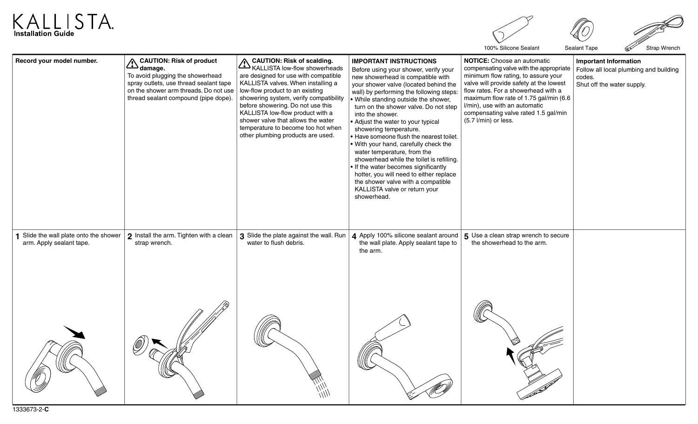



100% Silicone Sealant Sealant Tape Strap Wrench

| Record your model number.                                        | <b>CAUTION: Risk of product</b><br>A CAUTION<br>To avoid plugging the showerhead<br>spray outlets, use thread sealant tape<br>on the shower arm threads. Do not use<br>thread sealant compound (pipe dope). | <b>CAUTION: Risk of scalding.</b><br>CAUTION: HISK UI SUMMING.<br>KALLISTA low-flow showerheads<br>are designed for use with compatible<br>KALLISTA valves. When installing a<br>low-flow product to an existing<br>showering system, verify compatibility<br>before showering. Do not use this<br>KALLISTA low-flow product with a<br>shower valve that allows the water<br>temperature to become too hot when<br>other plumbing products are used. | <b>IMPORTANT INSTRUCTIONS</b><br>Before using your shower, verify your<br>new showerhead is compatible with<br>your shower valve (located behind the<br>wall) by performing the following steps:<br>. While standing outside the shower,<br>turn on the shower valve. Do not step<br>into the shower.<br>• Adjust the water to your typical<br>showering temperature.<br>• Have someone flush the nearest toilet.<br>. With your hand, carefully check the<br>water temperature, from the<br>showerhead while the toilet is refilling.<br>. If the water becomes significantly<br>hotter, you will need to either replace<br>the shower valve with a compatible<br>KALLISTA valve or return your<br>showerhead. | NOTICE: Choose an automatic<br>compensating valve with the appropriate<br>minimum flow rating, to assure your<br>valve will provide safety at the lowest<br>flow rates. For a showerhead with a<br>maximum flow rate of 1.75 gal/min (6.6<br>I/min), use with an automatic<br>compensating valve rated 1.5 gal/min<br>(5.7 l/min) or less. | <b>Important Information</b><br>Follow all local plumbing and building<br>codes.<br>Shut off the water supply. |
|------------------------------------------------------------------|-------------------------------------------------------------------------------------------------------------------------------------------------------------------------------------------------------------|------------------------------------------------------------------------------------------------------------------------------------------------------------------------------------------------------------------------------------------------------------------------------------------------------------------------------------------------------------------------------------------------------------------------------------------------------|-----------------------------------------------------------------------------------------------------------------------------------------------------------------------------------------------------------------------------------------------------------------------------------------------------------------------------------------------------------------------------------------------------------------------------------------------------------------------------------------------------------------------------------------------------------------------------------------------------------------------------------------------------------------------------------------------------------------|--------------------------------------------------------------------------------------------------------------------------------------------------------------------------------------------------------------------------------------------------------------------------------------------------------------------------------------------|----------------------------------------------------------------------------------------------------------------|
| Slide the wall plate onto the shower<br>arm. Apply sealant tape. | 2 Install the arm. Tighten with a clean<br>strap wrench.                                                                                                                                                    | water to flush debris.                                                                                                                                                                                                                                                                                                                                                                                                                               | <b>3</b> Slide the plate against the wall. Run $\vert$ 4 Apply 100% silicone sealant around<br>the wall plate. Apply sealant tape to<br>the arm.                                                                                                                                                                                                                                                                                                                                                                                                                                                                                                                                                                | 5 Use a clean strap wrench to secure<br>the showerhead to the arm.                                                                                                                                                                                                                                                                         |                                                                                                                |
| 1333673-2-C                                                      |                                                                                                                                                                                                             |                                                                                                                                                                                                                                                                                                                                                                                                                                                      |                                                                                                                                                                                                                                                                                                                                                                                                                                                                                                                                                                                                                                                                                                                 |                                                                                                                                                                                                                                                                                                                                            |                                                                                                                |